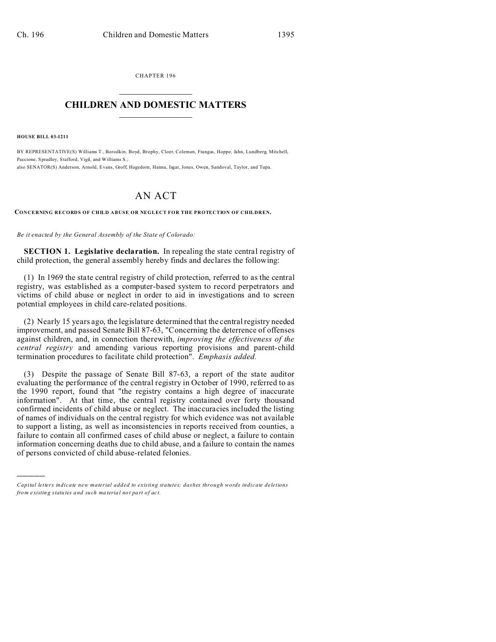CHAPTER 196  $\overline{\phantom{a}}$  , where  $\overline{\phantom{a}}$ 

## **CHILDREN AND DOMESTIC MATTERS**  $\_$   $\_$

**HOUSE BILL 03-1211**

)))))

BY REPRESENTATIVE(S) Williams T., Borodkin, Boyd, Brophy, Cloer, Coleman, Frangas, Hoppe, Jahn, Lundberg, Mitchell, Paccione, Spradley, Stafford, Vigil, and Williams S.; also SENATOR(S) Anderson, Arnold, Evans, Groff, Hagedorn, Hanna, Isgar, Jones, Owen, Sandoval, Taylor, and Tupa.

## AN ACT

**CONCERNING RECORDS OF CHILD ABUSE OR NEGLECT FOR THE PROTECTION OF CHILDREN.**

## *Be it enacted by the General Assembly of the State of Colorado:*

**SECTION 1. Legislative declaration.** In repealing the state central registry of child protection, the general assembly hereby finds and declares the following:

(1) In 1969 the state central registry of child protection, referred to as the central registry, was established as a computer-based system to record perpetrators and victims of child abuse or neglect in order to aid in investigations and to screen potential employees in child care-related positions.

(2) Nearly 15 years ago, the legislature determined that the central registry needed improvement, and passed Senate Bill 87-63, "Concerning the deterrence of offenses against children, and, in connection therewith, *improving the effectiveness of the central registry* and amending various reporting provisions and parent-child termination procedures to facilitate child protection". *Emphasis added.*

(3) Despite the passage of Senate Bill 87-63, a report of the state auditor evaluating the performance of the central registry in October of 1990, referred to as the 1990 report, found that "the registry contains a high degree of inaccurate information". At that time, the central registry contained over forty thousand confirmed incidents of child abuse or neglect. The inaccuracies included the listing of names of individuals on the central registry for which evidence was not available to support a listing, as well as inconsistencies in reports received from counties, a failure to contain all confirmed cases of child abuse or neglect, a failure to contain information concerning deaths due to child abuse, and a failure to contain the names of persons convicted of child abuse-related felonies.

*Capital letters indicate new material added to existing statutes; dashes through words indicate deletions from e xistin g statu tes a nd such ma teria l no t pa rt of ac t.*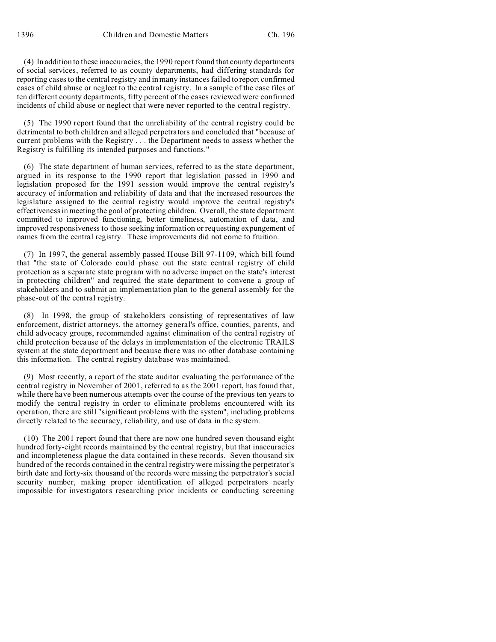(4) In addition to these inaccuracies, the 1990 report found that county departments of social services, referred to as county departments, had differing standards for reporting cases to the central registry and in many instances failed to report confirmed cases of child abuse or neglect to the central registry. In a sample of the case files of ten different county departments, fifty percent of the cases reviewed were confirmed incidents of child abuse or neglect that were never reported to the central registry.

(5) The 1990 report found that the unreliability of the central registry could be detrimental to both children and alleged perpetrators and concluded that "because of current problems with the Registry . . . the Department needs to assess whether the Registry is fulfilling its intended purposes and functions."

(6) The state department of human services, referred to as the state department, argued in its response to the 1990 report that legislation passed in 1990 and legislation proposed for the 1991 session would improve the central registry's accuracy of information and reliability of data and that the increased resources the legislature assigned to the central registry would improve the central registry's effectiveness in meeting the goal of protecting children. Overall, the state department committed to improved functioning, better timeliness, automation of data, and improved responsiveness to those seeking information or requesting expungement of names from the central registry. These improvements did not come to fruition.

(7) In 1997, the general assembly passed House Bill 97-1109, which bill found that "the state of Colorado could phase out the state central registry of child protection as a separate state program with no adverse impact on the state's interest in protecting children" and required the state department to convene a group of stakeholders and to submit an implementation plan to the general assembly for the phase-out of the central registry.

(8) In 1998, the group of stakeholders consisting of representatives of law enforcement, district attorneys, the attorney general's office, counties, parents, and child advocacy groups, recommended against elimination of the central registry of child protection because of the delays in implementation of the electronic TRAILS system at the state department and because there was no other database containing this information. The central registry database was maintained.

(9) Most recently, a report of the state auditor evaluating the performance of the central registry in November of 2001, referred to as the 2001 report, has found that, while there have been numerous attempts over the course of the previous ten years to modify the central registry in order to eliminate problems encountered with its operation, there are still "significant problems with the system", including problems directly related to the accuracy, reliability, and use of data in the system.

(10) The 2001 report found that there are now one hundred seven thousand eight hundred forty-eight records maintained by the central registry, but that inaccuracies and incompleteness plague the data contained in these records. Seven thousand six hundred of the records contained in the central registry were missing the perpetrator's birth date and forty-six thousand of the records were missing the perpetrator's social security number, making proper identification of alleged perpetrators nearly impossible for investigators researching prior incidents or conducting screening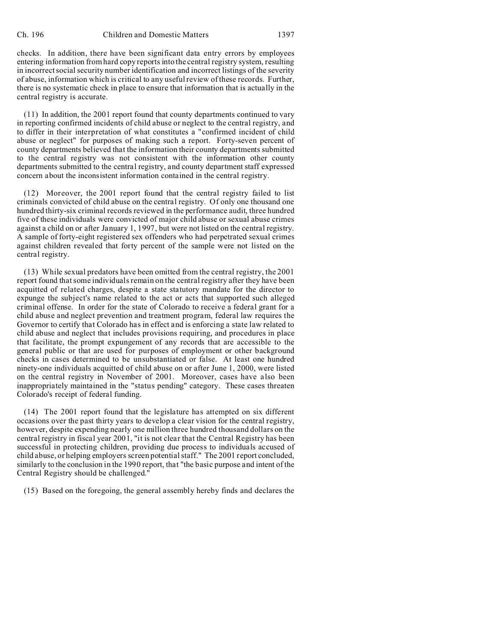checks. In addition, there have been significant data entry errors by employees entering information from hard copy reports into the central registry system, resulting in incorrect social security number identification and incorrect listings of the severity of abuse, information which is critical to any useful review of these records. Further, there is no systematic check in place to ensure that information that is actually in the central registry is accurate.

(11) In addition, the 2001 report found that county departments continued to vary in reporting confirmed incidents of child abuse or neglect to the central registry, and to differ in their interpretation of what constitutes a "confirmed incident of child abuse or neglect" for purposes of making such a report. Forty-seven percent of county departments believed that the information their county departments submitted to the central registry was not consistent with the information other county departments submitted to the central registry, and county department staff expressed concern about the inconsistent information contained in the central registry.

(12) Moreover, the 2001 report found that the central registry failed to list criminals convicted of child abuse on the central registry. Of only one thousand one hundred thirty-six criminal records reviewed in the performance audit, three hundred five of these individuals were convicted of major child abuse or sexual abuse crimes against a child on or after January 1, 1997, but were not listed on the central registry. A sample of forty-eight registered sex offenders who had perpetrated sexual crimes against children revealed that forty percent of the sample were not listed on the central registry.

(13) While sexual predators have been omitted from the central registry, the 2001 report found that some individuals remain on the central registry after they have been acquitted of related charges, despite a state statutory mandate for the director to expunge the subject's name related to the act or acts that supported such alleged criminal offense. In order for the state of Colorado to receive a federal grant for a child abuse and neglect prevention and treatment program, federal law requires the Governor to certify that Colorado has in effect and is enforcing a state law related to child abuse and neglect that includes provisions requiring, and procedures in place that facilitate, the prompt expungement of any records that are accessible to the general public or that are used for purposes of employment or other background checks in cases determined to be unsubstantiated or false. At least one hundred ninety-one individuals acquitted of child abuse on or after June 1, 2000, were listed on the central registry in November of 2001. Moreover, cases have also been inappropriately maintained in the "status pending" category. These cases threaten Colorado's receipt of federal funding.

(14) The 2001 report found that the legislature has attempted on six different occasions over the past thirty years to develop a clear vision for the central registry, however, despite expending nearly one million three hundred thousand dollars on the central registry in fiscal year 2001, "it is not clear that the Central Registry has been successful in protecting children, providing due process to individuals accused of child abuse, or helping employers screen potential staff." The 2001 report concluded, similarly to the conclusion in the 1990 report, that "the basic purpose and intent of the Central Registry should be challenged."

(15) Based on the foregoing, the general assembly hereby finds and declares the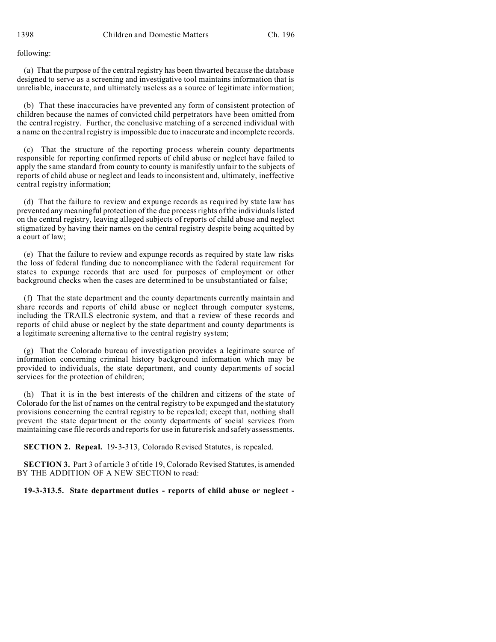following:

(a) That the purpose of the central registry has been thwarted because the database designed to serve as a screening and investigative tool maintains information that is unreliable, inaccurate, and ultimately useless as a source of legitimate information;

(b) That these inaccuracies have prevented any form of consistent protection of children because the names of convicted child perpetrators have been omitted from the central registry. Further, the conclusive matching of a screened individual with a name on the central registry is impossible due to inaccurate and incomplete records.

(c) That the structure of the reporting process wherein county departments responsible for reporting confirmed reports of child abuse or neglect have failed to apply the same standard from county to county is manifestly unfair to the subjects of reports of child abuse or neglect and leads to inconsistent and, ultimately, ineffective central registry information;

(d) That the failure to review and expunge records as required by state law has prevented any meaningful protection of the due process rights of the individuals listed on the central registry, leaving alleged subjects of reports of child abuse and neglect stigmatized by having their names on the central registry despite being acquitted by a court of law;

(e) That the failure to review and expunge records as required by state law risks the loss of federal funding due to noncompliance with the federal requirement for states to expunge records that are used for purposes of employment or other background checks when the cases are determined to be unsubstantiated or false;

(f) That the state department and the county departments currently maintain and share records and reports of child abuse or neglect through computer systems, including the TRAILS electronic system, and that a review of these records and reports of child abuse or neglect by the state department and county departments is a legitimate screening alternative to the central registry system;

(g) That the Colorado bureau of investigation provides a legitimate source of information concerning criminal history background information which may be provided to individuals, the state department, and county departments of social services for the protection of children;

(h) That it is in the best interests of the children and citizens of the state of Colorado for the list of names on the central registry to be expunged and the statutory provisions concerning the central registry to be repealed; except that, nothing shall prevent the state department or the county departments of social services from maintaining case file records and reports for use in future risk and safety assessments.

**SECTION 2. Repeal.** 19-3-313, Colorado Revised Statutes, is repealed.

**SECTION 3.** Part 3 of article 3 of title 19, Colorado Revised Statutes, is amended BY THE ADDITION OF A NEW SECTION to read:

**19-3-313.5. State department duties - reports of child abuse or neglect -**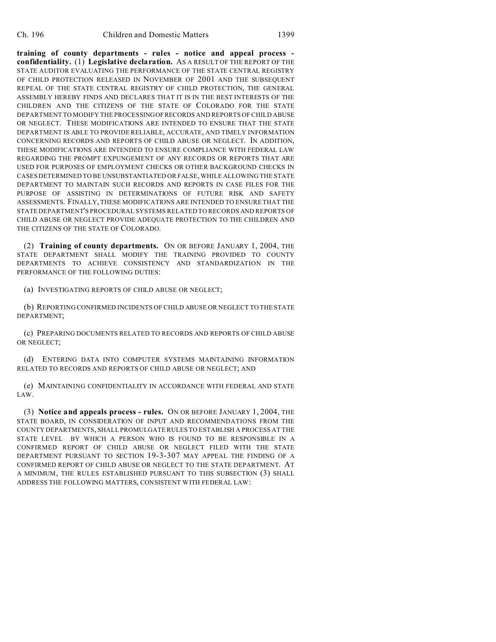**training of county departments - rules - notice and appeal process confidentiality.** (1) **Legislative declaration.** AS A RESULT OF THE REPORT OF THE STATE AUDITOR EVALUATING THE PERFORMANCE OF THE STATE CENTRAL REGISTRY OF CHILD PROTECTION RELEASED IN NOVEMBER OF 2001 AND THE SUBSEQUENT REPEAL OF THE STATE CENTRAL REGISTRY OF CHILD PROTECTION, THE GENERAL ASSEMBLY HEREBY FINDS AND DECLARES THAT IT IS IN THE BEST INTERESTS OF THE CHILDREN AND THE CITIZENS OF THE STATE OF COLORADO FOR THE STATE DEPARTMENT TO MODIFY THE PROCESSINGOFRECORDS AND REPORTS OF CHILD ABUSE OR NEGLECT. THESE MODIFICATIONS ARE INTENDED TO ENSURE THAT THE STATE DEPARTMENT IS ABLE TO PROVIDE RELIABLE, ACCURATE, AND TIMELY INFORMATION CONCERNING RECORDS AND REPORTS OF CHILD ABUSE OR NEGLECT. IN ADDITION, THESE MODIFICATIONS ARE INTENDED TO ENSURE COMPLIANCE WITH FEDERAL LAW REGARDING THE PROMPT EXPUNGEMENT OF ANY RECORDS OR REPORTS THAT ARE USED FOR PURPOSES OF EMPLOYMENT CHECKS OR OTHER BACKGROUND CHECKS IN CASES DETERMINED TO BE UNSUBSTANTIATED OR FALSE, WHILE ALLOWING THE STATE DEPARTMENT TO MAINTAIN SUCH RECORDS AND REPORTS IN CASE FILES FOR THE PURPOSE OF ASSISTING IN DETERMINATIONS OF FUTURE RISK AND SAFETY ASSESSMENTS. FINALLY, THESE MODIFICATIONS ARE INTENDED TO ENSURE THAT THE STATE DEPARTMENT'S PROCEDURAL SYSTEMS RELATED TO RECORDS AND REPORTS OF CHILD ABUSE OR NEGLECT PROVIDE ADEQUATE PROTECTION TO THE CHILDREN AND THE CITIZENS OF THE STATE OF COLORADO.

(2) **Training of county departments.** ON OR BEFORE JANUARY 1, 2004, THE STATE DEPARTMENT SHALL MODIFY THE TRAINING PROVIDED TO COUNTY DEPARTMENTS TO ACHIEVE CONSISTENCY AND STANDARDIZATION IN THE PERFORMANCE OF THE FOLLOWING DUTIES:

(a) INVESTIGATING REPORTS OF CHILD ABUSE OR NEGLECT;

(b) REPORTING CONFIRMED INCIDENTS OF CHILD ABUSE OR NEGLECT TO THE STATE DEPARTMENT;

(c) PREPARING DOCUMENTS RELATED TO RECORDS AND REPORTS OF CHILD ABUSE OR NEGLECT;

(d) ENTERING DATA INTO COMPUTER SYSTEMS MAINTAINING INFORMATION RELATED TO RECORDS AND REPORTS OF CHILD ABUSE OR NEGLECT; AND

(e) MAINTAINING CONFIDENTIALITY IN ACCORDANCE WITH FEDERAL AND STATE LAW.

(3) **Notice and appeals process - rules.** ON OR BEFORE JANUARY 1, 2004, THE STATE BOARD, IN CONSIDERATION OF INPUT AND RECOMMENDATIONS FROM THE COUNTY DEPARTMENTS, SHALL PROMULGATE RULES TO ESTABLISH A PROCESS AT THE STATE LEVEL BY WHICH A PERSON WHO IS FOUND TO BE RESPONSIBLE IN A CONFIRMED REPORT OF CHILD ABUSE OR NEGLECT FILED WITH THE STATE DEPARTMENT PURSUANT TO SECTION 19-3-307 MAY APPEAL THE FINDING OF A CONFIRMED REPORT OF CHILD ABUSE OR NEGLECT TO THE STATE DEPARTMENT. AT A MINIMUM, THE RULES ESTABLISHED PURSUANT TO THIS SUBSECTION (3) SHALL ADDRESS THE FOLLOWING MATTERS, CONSISTENT WITH FEDERAL LAW: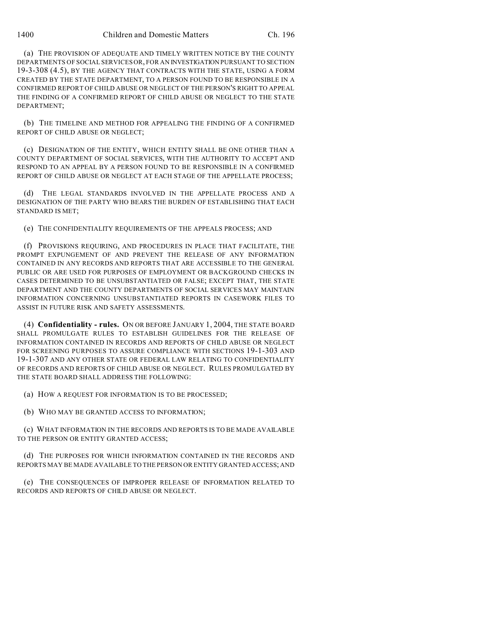(a) THE PROVISION OF ADEQUATE AND TIMELY WRITTEN NOTICE BY THE COUNTY DEPARTMENTS OF SOCIAL SERVICES OR, FOR AN INVESTIGATION PURSUANT TO SECTION 19-3-308 (4.5), BY THE AGENCY THAT CONTRACTS WITH THE STATE, USING A FORM CREATED BY THE STATE DEPARTMENT, TO A PERSON FOUND TO BE RESPONSIBLE IN A CONFIRMED REPORT OF CHILD ABUSE OR NEGLECT OF THE PERSON'S RIGHT TO APPEAL THE FINDING OF A CONFIRMED REPORT OF CHILD ABUSE OR NEGLECT TO THE STATE DEPARTMENT;

(b) THE TIMELINE AND METHOD FOR APPEALING THE FINDING OF A CONFIRMED REPORT OF CHILD ABUSE OR NEGLECT;

(c) DESIGNATION OF THE ENTITY, WHICH ENTITY SHALL BE ONE OTHER THAN A COUNTY DEPARTMENT OF SOCIAL SERVICES, WITH THE AUTHORITY TO ACCEPT AND RESPOND TO AN APPEAL BY A PERSON FOUND TO BE RESPONSIBLE IN A CONFIRMED REPORT OF CHILD ABUSE OR NEGLECT AT EACH STAGE OF THE APPELLATE PROCESS;

(d) THE LEGAL STANDARDS INVOLVED IN THE APPELLATE PROCESS AND A DESIGNATION OF THE PARTY WHO BEARS THE BURDEN OF ESTABLISHING THAT EACH STANDARD IS MET;

(e) THE CONFIDENTIALITY REQUIREMENTS OF THE APPEALS PROCESS; AND

(f) PROVISIONS REQUIRING, AND PROCEDURES IN PLACE THAT FACILITATE, THE PROMPT EXPUNGEMENT OF AND PREVENT THE RELEASE OF ANY INFORMATION CONTAINED IN ANY RECORDS AND REPORTS THAT ARE ACCESSIBLE TO THE GENERAL PUBLIC OR ARE USED FOR PURPOSES OF EMPLOYMENT OR BACKGROUND CHECKS IN CASES DETERMINED TO BE UNSUBSTANTIATED OR FALSE; EXCEPT THAT, THE STATE DEPARTMENT AND THE COUNTY DEPARTMENTS OF SOCIAL SERVICES MAY MAINTAIN INFORMATION CONCERNING UNSUBSTANTIATED REPORTS IN CASEWORK FILES TO ASSIST IN FUTURE RISK AND SAFETY ASSESSMENTS.

(4) **Confidentiality - rules.** ON OR BEFORE JANUARY 1, 2004, THE STATE BOARD SHALL PROMULGATE RULES TO ESTABLISH GUIDELINES FOR THE RELEASE OF INFORMATION CONTAINED IN RECORDS AND REPORTS OF CHILD ABUSE OR NEGLECT FOR SCREENING PURPOSES TO ASSURE COMPLIANCE WITH SECTIONS 19-1-303 AND 19-1-307 AND ANY OTHER STATE OR FEDERAL LAW RELATING TO CONFIDENTIALITY OF RECORDS AND REPORTS OF CHILD ABUSE OR NEGLECT. RULES PROMULGATED BY THE STATE BOARD SHALL ADDRESS THE FOLLOWING:

(a) HOW A REQUEST FOR INFORMATION IS TO BE PROCESSED;

(b) WHO MAY BE GRANTED ACCESS TO INFORMATION;

(c) WHAT INFORMATION IN THE RECORDS AND REPORTS IS TO BE MADE AVAILABLE TO THE PERSON OR ENTITY GRANTED ACCESS;

(d) THE PURPOSES FOR WHICH INFORMATION CONTAINED IN THE RECORDS AND REPORTS MAY BE MADE AVAILABLE TO THE PERSON OR ENTITY GRANTED ACCESS; AND

(e) THE CONSEQUENCES OF IMPROPER RELEASE OF INFORMATION RELATED TO RECORDS AND REPORTS OF CHILD ABUSE OR NEGLECT.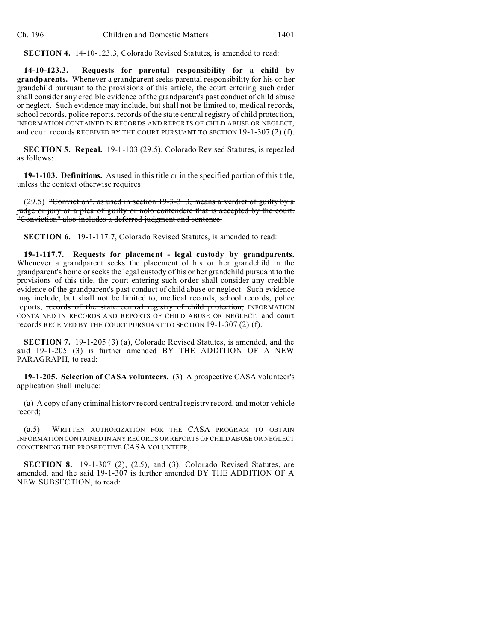**SECTION 4.** 14-10-123.3, Colorado Revised Statutes, is amended to read:

**14-10-123.3. Requests for parental responsibility for a child by grandparents.** Whenever a grandparent seeks parental responsibility for his or her grandchild pursuant to the provisions of this article, the court entering such order shall consider any credible evidence of the grandparent's past conduct of child abuse or neglect. Such evidence may include, but shall not be limited to, medical records, school records, police reports, records of the state central registry of child protection, INFORMATION CONTAINED IN RECORDS AND REPORTS OF CHILD ABUSE OR NEGLECT, and court records RECEIVED BY THE COURT PURSUANT TO SECTION 19-1-307 (2) (f).

**SECTION 5. Repeal.** 19-1-103 (29.5), Colorado Revised Statutes, is repealed as follows:

**19-1-103. Definitions.** As used in this title or in the specified portion of this title, unless the context otherwise requires:

(29.5) "Conviction", as used in section 19-3-313, means a verdict of guilty by a judge or jury or a plea of guilty or nolo contendere that is accepted by the court. "Conviction" also includes a deferred judgment and sentence.

**SECTION 6.** 19-1-117.7, Colorado Revised Statutes, is amended to read:

**19-1-117.7. Requests for placement - legal custody by grandparents.** Whenever a grandparent seeks the placement of his or her grandchild in the grandparent's home or seeks the legal custody of his or her grandchild pursuant to the provisions of this title, the court entering such order shall consider any credible evidence of the grandparent's past conduct of child abuse or neglect. Such evidence may include, but shall not be limited to, medical records, school records, police reports, records of the state central registry of child protection, INFORMATION CONTAINED IN RECORDS AND REPORTS OF CHILD ABUSE OR NEGLECT, and court records RECEIVED BY THE COURT PURSUANT TO SECTION 19-1-307 (2) (f).

**SECTION 7.** 19-1-205 (3) (a), Colorado Revised Statutes, is amended, and the said 19-1-205 (3) is further amended BY THE ADDITION OF A NEW PARAGRAPH, to read:

**19-1-205. Selection of CASA volunteers.** (3) A prospective CASA volunteer's application shall include:

(a) A copy of any criminal history record central registry record, and motor vehicle record;

(a.5) WRITTEN AUTHORIZATION FOR THE CASA PROGRAM TO OBTAIN INFORMATION CONTAINED IN ANY RECORDS OR REPORTS OF CHILD ABUSE OR NEGLECT CONCERNING THE PROSPECTIVE CASA VOLUNTEER;

**SECTION 8.** 19-1-307 (2), (2.5), and (3), Colorado Revised Statutes, are amended, and the said 19-1-307 is further amended BY THE ADDITION OF A NEW SUBSECTION, to read: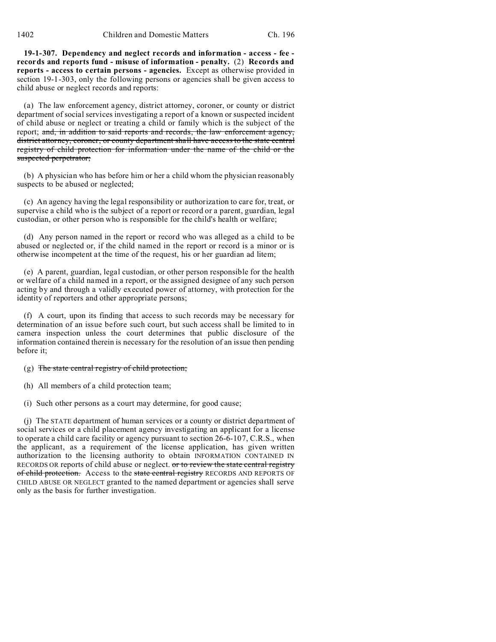1402 Children and Domestic Matters Ch. 196

**19-1-307. Dependency and neglect records and information - access - fee records and reports fund - misuse of information - penalty.** (2) **Records and reports - access to certain persons - agencies.** Except as otherwise provided in section 19-1-303, only the following persons or agencies shall be given access to child abuse or neglect records and reports:

(a) The law enforcement agency, district attorney, coroner, or county or district department of social services investigating a report of a known or suspected incident of child abuse or neglect or treating a child or family which is the subject of the report; and, in addition to said reports and records, the law enforcement agency, district attorney, coroner, or county department shall have access to the state central registry of child protection for information under the name of the child or the suspected perpetrator;

(b) A physician who has before him or her a child whom the physician reasonably suspects to be abused or neglected;

(c) An agency having the legal responsibility or authorization to care for, treat, or supervise a child who is the subject of a report or record or a parent, guardian, legal custodian, or other person who is responsible for the child's health or welfare;

(d) Any person named in the report or record who was alleged as a child to be abused or neglected or, if the child named in the report or record is a minor or is otherwise incompetent at the time of the request, his or her guardian ad litem;

(e) A parent, guardian, legal custodian, or other person responsible for the health or welfare of a child named in a report, or the assigned designee of any such person acting by and through a validly executed power of attorney, with protection for the identity of reporters and other appropriate persons;

(f) A court, upon its finding that access to such records may be necessary for determination of an issue before such court, but such access shall be limited to in camera inspection unless the court determines that public disclosure of the information contained therein is necessary for the resolution of an issue then pending before it;

 $(g)$  The state central registry of child protection;

- (h) All members of a child protection team;
- (i) Such other persons as a court may determine, for good cause;

(j) The STATE department of human services or a county or district department of social services or a child placement agency investigating an applicant for a license to operate a child care facility or agency pursuant to section 26-6-107, C.R.S., when the applicant, as a requirement of the license application, has given written authorization to the licensing authority to obtain INFORMATION CONTAINED IN RECORDS OR reports of child abuse or neglect. or to review the state central registry of child protection. Access to the state central registry RECORDS AND REPORTS OF CHILD ABUSE OR NEGLECT granted to the named department or agencies shall serve only as the basis for further investigation.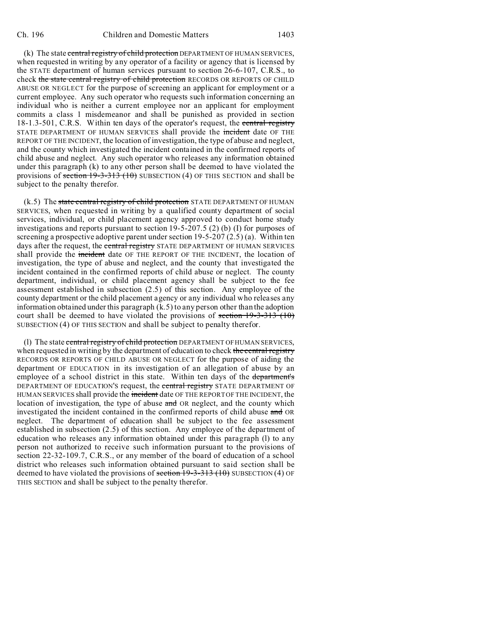(k) The state central registry of child protection DEPARTMENT OF HUMAN SERVICES, when requested in writing by any operator of a facility or agency that is licensed by the STATE department of human services pursuant to section 26-6-107, C.R.S., to check the state central registry of child protection RECORDS OR REPORTS OF CHILD ABUSE OR NEGLECT for the purpose of screening an applicant for employment or a current employee. Any such operator who requests such information concerning an individual who is neither a current employee nor an applicant for employment commits a class 1 misdemeanor and shall be punished as provided in section 18-1.3-501, C.R.S. Within ten days of the operator's request, the central registry STATE DEPARTMENT OF HUMAN SERVICES shall provide the incident date OF THE REPORT OF THE INCIDENT, the location of investigation, the type of abuse and neglect, and the county which investigated the incident contained in the confirmed reports of child abuse and neglect. Any such operator who releases any information obtained under this paragraph (k) to any other person shall be deemed to have violated the provisions of section 19-3-313 (10) SUBSECTION (4) OF THIS SECTION and shall be subject to the penalty therefor.

 $(k.5)$  The state central registry of child protection STATE DEPARTMENT OF HUMAN SERVICES, when requested in writing by a qualified county department of social services, individual, or child placement agency approved to conduct home study investigations and reports pursuant to section 19-5-207.5 (2) (b) (I) for purposes of screening a prospective adoptive parent under section 19-5-207 (2.5) (a). Within ten days after the request, the central registry STATE DEPARTMENT OF HUMAN SERVICES shall provide the incident date OF THE REPORT OF THE INCIDENT, the location of investigation, the type of abuse and neglect, and the county that investigated the incident contained in the confirmed reports of child abuse or neglect. The county department, individual, or child placement agency shall be subject to the fee assessment established in subsection (2.5) of this section. Any employee of the county department or the child placement agency or any individual who releases any information obtained under this paragraph (k.5) to any person other than the adoption court shall be deemed to have violated the provisions of section  $19-3-313$  (10) SUBSECTION (4) OF THIS SECTION and shall be subject to penalty therefor.

(1) The state central registry of child protection DEPARTMENT OF HUMAN SERVICES, when requested in writing by the department of education to check the central registry RECORDS OR REPORTS OF CHILD ABUSE OR NEGLECT for the purpose of aiding the department OF EDUCATION in its investigation of an allegation of abuse by an employee of a school district in this state. Within ten days of the department's DEPARTMENT OF EDUCATION'S request, the central registry STATE DEPARTMENT OF HUMAN SERVICES shall provide the incident date OF THE REPORT OF THE INCIDENT, the location of investigation, the type of abuse and OR neglect, and the county which investigated the incident contained in the confirmed reports of child abuse and OR neglect. The department of education shall be subject to the fee assessment established in subsection (2.5) of this section. Any employee of the department of education who releases any information obtained under this paragraph (l) to any person not authorized to receive such information pursuant to the provisions of section 22-32-109.7, C.R.S., or any member of the board of education of a school district who releases such information obtained pursuant to said section shall be deemed to have violated the provisions of section  $19-3-313$  (10) SUBSECTION (4) OF THIS SECTION and shall be subject to the penalty therefor.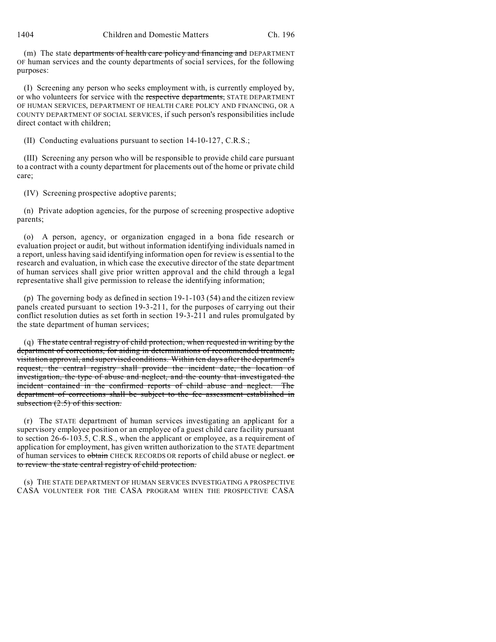(m) The state departments of health care policy and financing and DEPARTMENT OF human services and the county departments of social services, for the following purposes:

(I) Screening any person who seeks employment with, is currently employed by, or who volunteers for service with the respective departments, STATE DEPARTMENT OF HUMAN SERVICES, DEPARTMENT OF HEALTH CARE POLICY AND FINANCING, OR A COUNTY DEPARTMENT OF SOCIAL SERVICES, if such person's responsibilities include direct contact with children;

(II) Conducting evaluations pursuant to section 14-10-127, C.R.S.;

(III) Screening any person who will be responsible to provide child care pursuant to a contract with a county department for placements out of the home or private child care;

(IV) Screening prospective adoptive parents;

(n) Private adoption agencies, for the purpose of screening prospective adoptive parents;

(o) A person, agency, or organization engaged in a bona fide research or evaluation project or audit, but without information identifying individuals named in a report, unless having said identifying information open for review is essential to the research and evaluation, in which case the executive director of the state department of human services shall give prior written approval and the child through a legal representative shall give permission to release the identifying information;

(p) The governing body as defined in section 19-1-103 (54) and the citizen review panels created pursuant to section 19-3-211, for the purposes of carrying out their conflict resolution duties as set forth in section 19-3-211 and rules promulgated by the state department of human services;

(q) The state central registry of child protection, when requested in writing by the department of corrections, for aiding in determinations of recommended treatment, visitation approval, and supervised conditions. Within ten days after the department's request, the central registry shall provide the incident date, the location of investigation, the type of abuse and neglect, and the county that investigated the incident contained in the confirmed reports of child abuse and neglect. The department of corrections shall be subject to the fee assessment established in subsection  $(2.5)$  of this section.

(r) The STATE department of human services investigating an applicant for a supervisory employee position or an employee of a guest child care facility pursuant to section 26-6-103.5, C.R.S., when the applicant or employee, as a requirement of application for employment, has given written authorization to the STATE department of human services to obtain CHECK RECORDS OR reports of child abuse or neglect. or to review the state central registry of child protection.

(s) THE STATE DEPARTMENT OF HUMAN SERVICES INVESTIGATING A PROSPECTIVE CASA VOLUNTEER FOR THE CASA PROGRAM WHEN THE PROSPECTIVE CASA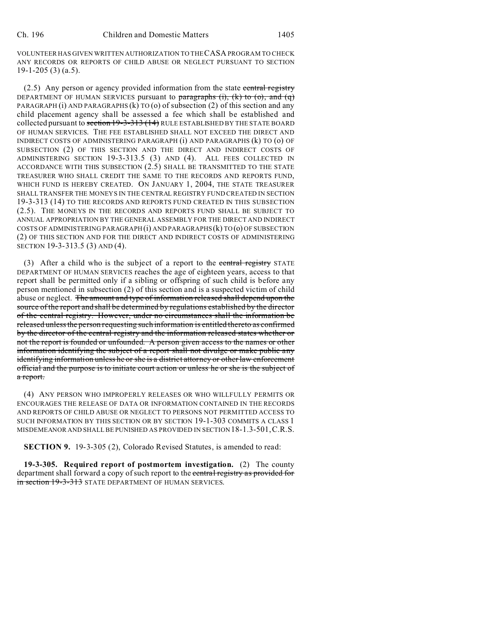VOLUNTEER HAS GIVEN WRITTEN AUTHORIZATION TO THE CASA PROGRAM TO CHECK ANY RECORDS OR REPORTS OF CHILD ABUSE OR NEGLECT PURSUANT TO SECTION 19-1-205 (3) (a.5).

(2.5) Any person or agency provided information from the state central registry DEPARTMENT OF HUMAN SERVICES pursuant to paragraphs  $(i)$ ,  $(k)$  to  $(0)$ , and  $(q)$ PARAGRAPH (i) AND PARAGRAPHS (k) TO (o) of subsection (2) of this section and any child placement agency shall be assessed a fee which shall be established and collected pursuant to section 19-3-313 (14) RULE ESTABLISHED BY THE STATE BOARD OF HUMAN SERVICES. THE FEE ESTABLISHED SHALL NOT EXCEED THE DIRECT AND INDIRECT COSTS OF ADMINISTERING PARAGRAPH (i) AND PARAGRAPHS (k) TO (o) OF SUBSECTION (2) OF THIS SECTION AND THE DIRECT AND INDIRECT COSTS OF ADMINISTERING SECTION 19-3-313.5 (3) AND (4). ALL FEES COLLECTED IN ACCORDANCE WITH THIS SUBSECTION (2.5) SHALL BE TRANSMITTED TO THE STATE TREASURER WHO SHALL CREDIT THE SAME TO THE RECORDS AND REPORTS FUND, WHICH FUND IS HEREBY CREATED. ON JANUARY 1, 2004, THE STATE TREASURER SHALL TRANSFER THE MONEYS IN THE CENTRAL REGISTRY FUND CREATED IN SECTION 19-3-313 (14) TO THE RECORDS AND REPORTS FUND CREATED IN THIS SUBSECTION (2.5). THE MONEYS IN THE RECORDS AND REPORTS FUND SHALL BE SUBJECT TO ANNUAL APPROPRIATION BY THE GENERAL ASSEMBLY FOR THE DIRECT AND INDIRECT COSTS OF ADMINISTERING PARAGRAPH (i) AND PARAGRAPHS (k) TO (o) OF SUBSECTION (2) OF THIS SECTION AND FOR THE DIRECT AND INDIRECT COSTS OF ADMINISTERING SECTION 19-3-313.5 (3) AND (4).

(3) After a child who is the subject of a report to the central registry STATE DEPARTMENT OF HUMAN SERVICES reaches the age of eighteen years, access to that report shall be permitted only if a sibling or offspring of such child is before any person mentioned in subsection (2) of this section and is a suspected victim of child abuse or neglect. The amount and type of information released shall depend upon the source of the report and shall be determined by regulations established by the director of the central registry. However, under no circumstances shall the information be released unless the person requesting such information is entitled thereto as confirmed by the director of the central registry and the information released states whether or not the report is founded or unfounded. A person given access to the names or other information identifying the subject of a report shall not divulge or make public any identifying information unless he or she is a district attorney or other law enforcement official and the purpose is to initiate court action or unless he or she is the subject of a report.

(4) ANY PERSON WHO IMPROPERLY RELEASES OR WHO WILLFULLY PERMITS OR ENCOURAGES THE RELEASE OF DATA OR INFORMATION CONTAINED IN THE RECORDS AND REPORTS OF CHILD ABUSE OR NEGLECT TO PERSONS NOT PERMITTED ACCESS TO SUCH INFORMATION BY THIS SECTION OR BY SECTION 19-1-303 COMMITS A CLASS 1 MISDEMEANOR AND SHALL BE PUNISHED AS PROVIDED IN SECTION18-1.3-501,C.R.S.

**SECTION 9.** 19-3-305 (2), Colorado Revised Statutes, is amended to read:

**19-3-305. Required report of postmortem investigation.** (2) The county department shall forward a copy of such report to the central registry as provided for in section 19-3-313 STATE DEPARTMENT OF HUMAN SERVICES.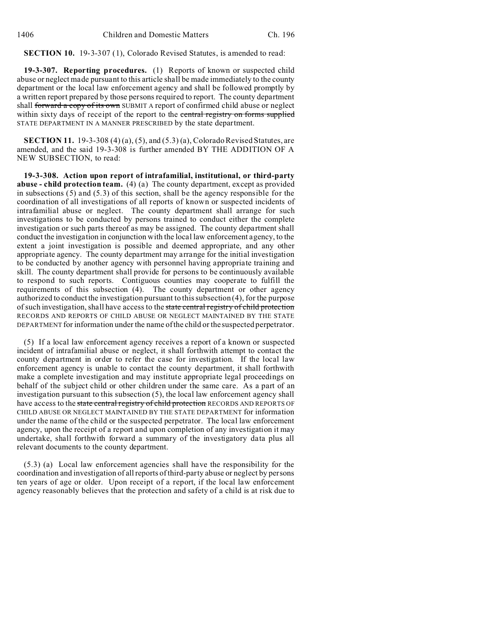## **SECTION 10.** 19-3-307 (1), Colorado Revised Statutes, is amended to read:

**19-3-307. Reporting procedures.** (1) Reports of known or suspected child abuse or neglect made pursuant to this article shall be made immediately to the county department or the local law enforcement agency and shall be followed promptly by a written report prepared by those persons required to report. The county department shall forward a copy of its own SUBMIT A report of confirmed child abuse or neglect within sixty days of receipt of the report to the central registry on forms supplied STATE DEPARTMENT IN A MANNER PRESCRIBED by the state department.

**SECTION 11.** 19-3-308 (4) (a), (5), and (5.3) (a), Colorado Revised Statutes, are amended, and the said 19-3-308 is further amended BY THE ADDITION OF A NEW SUBSECTION, to read:

**19-3-308. Action upon report of intrafamilial, institutional, or third-party abuse - child protection team.** (4) (a) The county department, except as provided in subsections (5) and (5.3) of this section, shall be the agency responsible for the coordination of all investigations of all reports of known or suspected incidents of intrafamilial abuse or neglect. The county department shall arrange for such investigations to be conducted by persons trained to conduct either the complete investigation or such parts thereof as may be assigned. The county department shall conduct the investigation in conjunction with the local law enforcement agency, to the extent a joint investigation is possible and deemed appropriate, and any other appropriate agency. The county department may arrange for the initial investigation to be conducted by another agency with personnel having appropriate training and skill. The county department shall provide for persons to be continuously available to respond to such reports. Contiguous counties may cooperate to fulfill the requirements of this subsection (4). The county department or other agency authorized to conduct the investigation pursuant to this subsection (4), for the purpose of such investigation, shall have access to the state central registry of child protection RECORDS AND REPORTS OF CHILD ABUSE OR NEGLECT MAINTAINED BY THE STATE DEPARTMENT for information under the name of the child or the suspected perpetrator.

(5) If a local law enforcement agency receives a report of a known or suspected incident of intrafamilial abuse or neglect, it shall forthwith attempt to contact the county department in order to refer the case for investigation. If the local law enforcement agency is unable to contact the county department, it shall forthwith make a complete investigation and may institute appropriate legal proceedings on behalf of the subject child or other children under the same care. As a part of an investigation pursuant to this subsection (5), the local law enforcement agency shall have access to the state central registry of child protection RECORDS AND REPORTS OF CHILD ABUSE OR NEGLECT MAINTAINED BY THE STATE DEPARTMENT for information under the name of the child or the suspected perpetrator. The local law enforcement agency, upon the receipt of a report and upon completion of any investigation it may undertake, shall forthwith forward a summary of the investigatory data plus all relevant documents to the county department.

(5.3) (a) Local law enforcement agencies shall have the responsibility for the coordination and investigation of all reports of third-party abuse or neglect by persons ten years of age or older. Upon receipt of a report, if the local law enforcement agency reasonably believes that the protection and safety of a child is at risk due to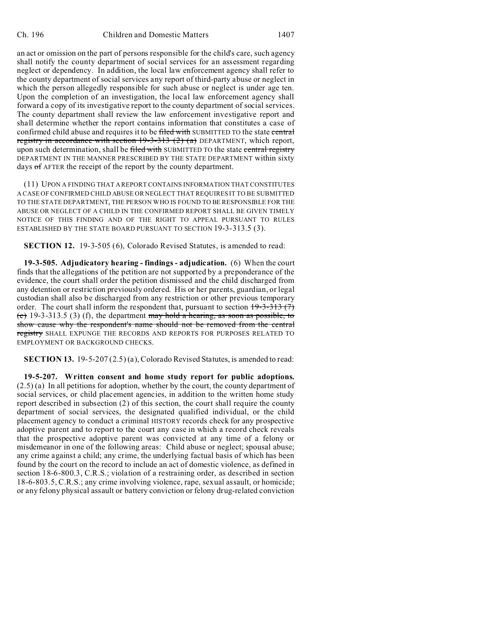an act or omission on the part of persons responsible for the child's care, such agency shall notify the county department of social services for an assessment regarding neglect or dependency. In addition, the local law enforcement agency shall refer to the county department of social services any report of third-party abuse or neglect in which the person allegedly responsible for such abuse or neglect is under age ten. Upon the completion of an investigation, the local law enforcement agency shall forward a copy of its investigative report to the county department of social services. The county department shall review the law enforcement investigative report and shall determine whether the report contains information that constitutes a case of confirmed child abuse and requires it to be filed with SUBMITTED TO the state central registry in accordance with section  $19-3-313$  (2) (a) DEPARTMENT, which report, upon such determination, shall be filed with SUBMITTED TO the state central registry DEPARTMENT IN THE MANNER PRESCRIBED BY THE STATE DEPARTMENT within sixty days of AFTER the receipt of the report by the county department.

(11) UPON A FINDING THAT A REPORT CONTAINS INFORMATION THAT CONSTITUTES A CASE OF CONFIRMED CHILD ABUSE OR NEGLECT THAT REQUIRES IT TO BE SUBMITTED TO THE STATE DEPARTMENT, THE PERSON WHO IS FOUND TO BE RESPONSIBLE FOR THE ABUSE OR NEGLECT OF A CHILD IN THE CONFIRMED REPORT SHALL BE GIVEN TIMELY NOTICE OF THIS FINDING AND OF THE RIGHT TO APPEAL PURSUANT TO RULES ESTABLISHED BY THE STATE BOARD PURSUANT TO SECTION 19-3-313.5 (3).

**SECTION 12.** 19-3-505 (6), Colorado Revised Statutes, is amended to read:

**19-3-505. Adjudicatory hearing - findings - adjudication.** (6) When the court finds that the allegations of the petition are not supported by a preponderance of the evidence, the court shall order the petition dismissed and the child discharged from any detention or restriction previously ordered. His or her parents, guardian, or legal custodian shall also be discharged from any restriction or other previous temporary order. The court shall inform the respondent that, pursuant to section  $19-3-313(7)$ (c) 19-3-313.5 (3) (f), the department may hold a hearing, as soon as possible, to show cause why the respondent's name should not be removed from the central registry SHALL EXPUNGE THE RECORDS AND REPORTS FOR PURPOSES RELATED TO EMPLOYMENT OR BACKGROUND CHECKS.

**SECTION 13.** 19-5-207 (2.5) (a), Colorado Revised Statutes, is amended to read:

**19-5-207. Written consent and home study report for public adoptions.** (2.5) (a) In all petitions for adoption, whether by the court, the county department of social services, or child placement agencies, in addition to the written home study report described in subsection (2) of this section, the court shall require the county department of social services, the designated qualified individual, or the child placement agency to conduct a criminal HISTORY records check for any prospective adoptive parent and to report to the court any case in which a record check reveals that the prospective adoptive parent was convicted at any time of a felony or misdemeanor in one of the following areas: Child abuse or neglect; spousal abuse; any crime against a child; any crime, the underlying factual basis of which has been found by the court on the record to include an act of domestic violence, as defined in section 18-6-800.3, C.R.S.; violation of a restraining order, as described in section 18-6-803.5, C.R.S.; any crime involving violence, rape, sexual assault, or homicide; or any felony physical assault or battery conviction or felony drug-related conviction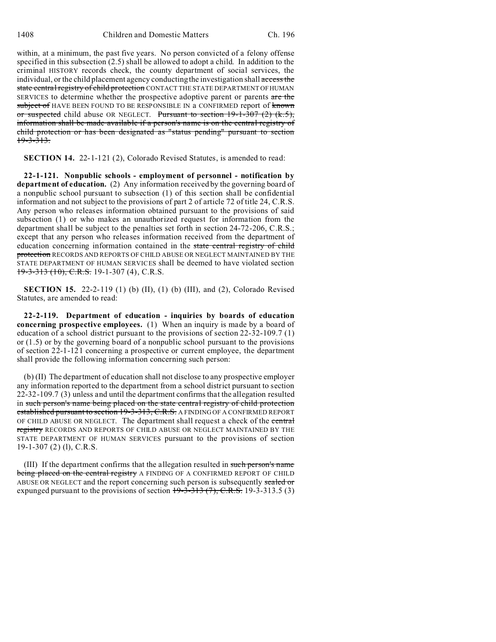within, at a minimum, the past five years. No person convicted of a felony offense specified in this subsection (2.5) shall be allowed to adopt a child. In addition to the criminal HISTORY records check, the county department of social services, the individual, or the child placement agency conducting the investigation shall access the state central registry of child protection CONTACT THE STATE DEPARTMENT OF HUMAN SERVICES to determine whether the prospective adoptive parent or parents are the subject of HAVE BEEN FOUND TO BE RESPONSIBLE IN a CONFIRMED report of known or suspected child abuse OR NEGLECT. Pursuant to section  $19-1-307(2)$  (k.5), information shall be made available if a person's name is on the central registry of child protection or has been designated as "status pending" pursuant to section <del>19-3-313.</del>

**SECTION 14.** 22-1-121 (2), Colorado Revised Statutes, is amended to read:

**22-1-121. Nonpublic schools - employment of personnel - notification by department of education.** (2) Any information received by the governing board of a nonpublic school pursuant to subsection (1) of this section shall be confidential information and not subject to the provisions of part 2 of article 72 of title 24, C.R.S. Any person who releases information obtained pursuant to the provisions of said subsection (1) or who makes an unauthorized request for information from the department shall be subject to the penalties set forth in section 24-72-206, C.R.S.; except that any person who releases information received from the department of education concerning information contained in the state central registry of child protection RECORDS AND REPORTS OF CHILD ABUSE OR NEGLECT MAINTAINED BY THE STATE DEPARTMENT OF HUMAN SERVICES shall be deemed to have violated section 19-3-313 (10), C.R.S. 19-1-307 (4), C.R.S.

**SECTION 15.** 22-2-119 (1) (b) (II), (1) (b) (III), and (2), Colorado Revised Statutes, are amended to read:

**22-2-119. Department of education - inquiries by boards of education concerning prospective employees.** (1) When an inquiry is made by a board of education of a school district pursuant to the provisions of section 22-32-109.7 (1) or (1.5) or by the governing board of a nonpublic school pursuant to the provisions of section 22-1-121 concerning a prospective or current employee, the department shall provide the following information concerning such person:

(b) (II) The department of education shall not disclose to any prospective employer any information reported to the department from a school district pursuant to section 22-32-109.7 (3) unless and until the department confirms that the allegation resulted in such person's name being placed on the state central registry of child protection established pursuant to section 19-3-313, C.R.S. A FINDING OF A CONFIRMED REPORT OF CHILD ABUSE OR NEGLECT. The department shall request a check of the central registry RECORDS AND REPORTS OF CHILD ABUSE OR NEGLECT MAINTAINED BY THE STATE DEPARTMENT OF HUMAN SERVICES pursuant to the provisions of section 19-1-307 (2) (l), C.R.S.

(III) If the department confirms that the allegation resulted in such person's name being placed on the central registry A FINDING OF A CONFIRMED REPORT OF CHILD ABUSE OR NEGLECT and the report concerning such person is subsequently sealed or expunged pursuant to the provisions of section  $+9-3-313$   $(7)$ , C.R.S. 19-3-313.5 (3)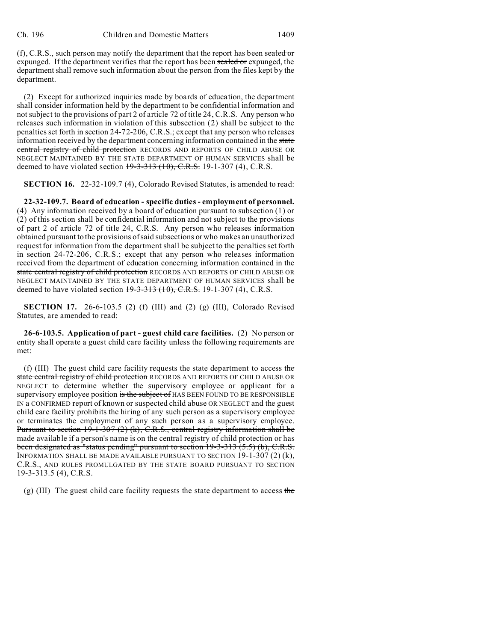$(f)$ , C.R.S., such person may notify the department that the report has been sealed or expunged. If the department verifies that the report has been sealed or expunged, the department shall remove such information about the person from the files kept by the department.

(2) Except for authorized inquiries made by boards of education, the department shall consider information held by the department to be confidential information and not subject to the provisions of part 2 of article 72 of title 24, C.R.S. Any person who releases such information in violation of this subsection (2) shall be subject to the penalties set forth in section 24-72-206, C.R.S.; except that any person who releases information received by the department concerning information contained in the state central registry of child protection RECORDS AND REPORTS OF CHILD ABUSE OR NEGLECT MAINTAINED BY THE STATE DEPARTMENT OF HUMAN SERVICES shall be deemed to have violated section  $19-3-313$  (10), C.R.S. 19-1-307 (4), C.R.S.

**SECTION 16.** 22-32-109.7 (4), Colorado Revised Statutes, is amended to read:

**22-32-109.7. Board of education - specific duties - employment of personnel.** (4) Any information received by a board of education pursuant to subsection (1) or (2) of this section shall be confidential information and not subject to the provisions of part 2 of article 72 of title 24, C.R.S. Any person who releases information obtained pursuant to the provisions of said subsections or who makes an unauthorized request for information from the department shall be subject to the penalties set forth in section 24-72-206, C.R.S.; except that any person who releases information received from the department of education concerning information contained in the state central registry of child protection RECORDS AND REPORTS OF CHILD ABUSE OR NEGLECT MAINTAINED BY THE STATE DEPARTMENT OF HUMAN SERVICES shall be deemed to have violated section  $19-3-313$  (10), C.R.S. 19-1-307 (4), C.R.S.

**SECTION 17.** 26-6-103.5 (2) (f) (III) and (2) (g) (III), Colorado Revised Statutes, are amended to read:

**26-6-103.5. Application of part - guest child care facilities.** (2) No person or entity shall operate a guest child care facility unless the following requirements are met:

(f) (III) The guest child care facility requests the state department to access the state central registry of child protection RECORDS AND REPORTS OF CHILD ABUSE OR NEGLECT to determine whether the supervisory employee or applicant for a supervisory employee position is the subject of HAS BEEN FOUND TO BE RESPONSIBLE IN a CONFIRMED report of known or suspected child abuse OR NEGLECT and the guest child care facility prohibits the hiring of any such person as a supervisory employee or terminates the employment of any such person as a supervisory employee. Pursuant to section 19-1-307 (2) (k), C.R.S., central registry information shall be made available if a person's name is on the central registry of child protection or has been designated as "status pending" pursuant to section 19-3-313 (5.5) (b), C.R.S. INFORMATION SHALL BE MADE AVAILABLE PURSUANT TO SECTION 19-1-307 (2) (k), C.R.S., AND RULES PROMULGATED BY THE STATE BOARD PURSUANT TO SECTION 19-3-313.5 (4), C.R.S.

(g) (III) The guest child care facility requests the state department to access the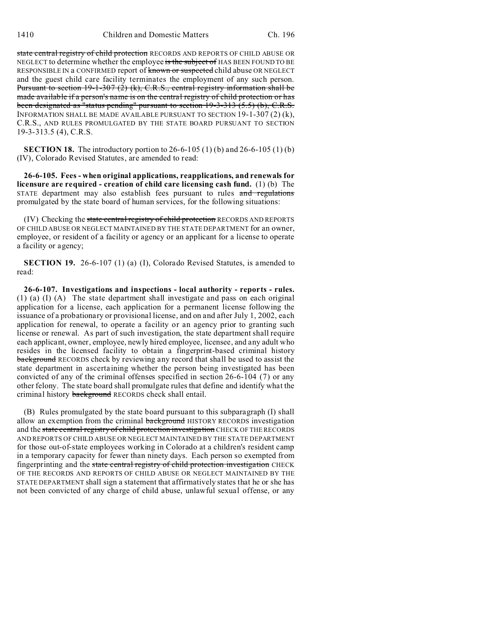state central registry of child protection RECORDS AND REPORTS OF CHILD ABUSE OR NEGLECT to determine whether the employee is the subject of HAS BEEN FOUND TO BE RESPONSIBLE IN a CONFIRMED report of known or suspected child abuse OR NEGLECT and the guest child care facility terminates the employment of any such person. Pursuant to section 19-1-307 (2) (k), C.R.S., central registry information shall be made available if a person's name is on the central registry of child protection or has been designated as "status pending" pursuant to section 19-3-313 (5.5) (b), C.R.S. INFORMATION SHALL BE MADE AVAILABLE PURSUANT TO SECTION 19-1-307 (2) (k), C.R.S., AND RULES PROMULGATED BY THE STATE BOARD PURSUANT TO SECTION 19-3-313.5 (4), C.R.S.

**SECTION 18.** The introductory portion to 26-6-105 (1) (b) and 26-6-105 (1) (b) (IV), Colorado Revised Statutes, are amended to read:

**26-6-105. Fees - when original applications, reapplications, and renewals for licensure are required - creation of child care licensing cash fund.** (1) (b) The STATE department may also establish fees pursuant to rules and regulations promulgated by the state board of human services, for the following situations:

(IV) Checking the state central registry of child protection RECORDS AND REPORTS OF CHILD ABUSE OR NEGLECT MAINTAINED BY THE STATE DEPARTMENT for an owner, employee, or resident of a facility or agency or an applicant for a license to operate a facility or agency;

**SECTION 19.** 26-6-107 (1) (a) (I), Colorado Revised Statutes, is amended to read:

**26-6-107. Investigations and inspections - local authority - reports - rules.** (1) (a) (I) (A) The state department shall investigate and pass on each original application for a license, each application for a permanent license following the issuance of a probationary or provisional license, and on and after July 1, 2002, each application for renewal, to operate a facility or an agency prior to granting such license or renewal. As part of such investigation, the state department shall require each applicant, owner, employee, newly hired employee, licensee, and any adult who resides in the licensed facility to obtain a fingerprint-based criminal history background RECORDS check by reviewing any record that shall be used to assist the state department in ascertaining whether the person being investigated has been convicted of any of the criminal offenses specified in section 26-6-104 (7) or any other felony. The state board shall promulgate rules that define and identify what the criminal history **background** RECORDS check shall entail.

(B) Rules promulgated by the state board pursuant to this subparagraph (I) shall allow an exemption from the criminal background HISTORY RECORDS investigation and the state central registry of child protection investigation CHECK OF THE RECORDS AND REPORTS OF CHILD ABUSE OR NEGLECT MAINTAINED BY THE STATE DEPARTMENT for those out-of-state employees working in Colorado at a children's resident camp in a temporary capacity for fewer than ninety days. Each person so exempted from fingerprinting and the state central registry of child protection investigation CHECK OF THE RECORDS AND REPORTS OF CHILD ABUSE OR NEGLECT MAINTAINED BY THE STATE DEPARTMENT shall sign a statement that affirmatively states that he or she has not been convicted of any charge of child abuse, unlawful sexual offense, or any